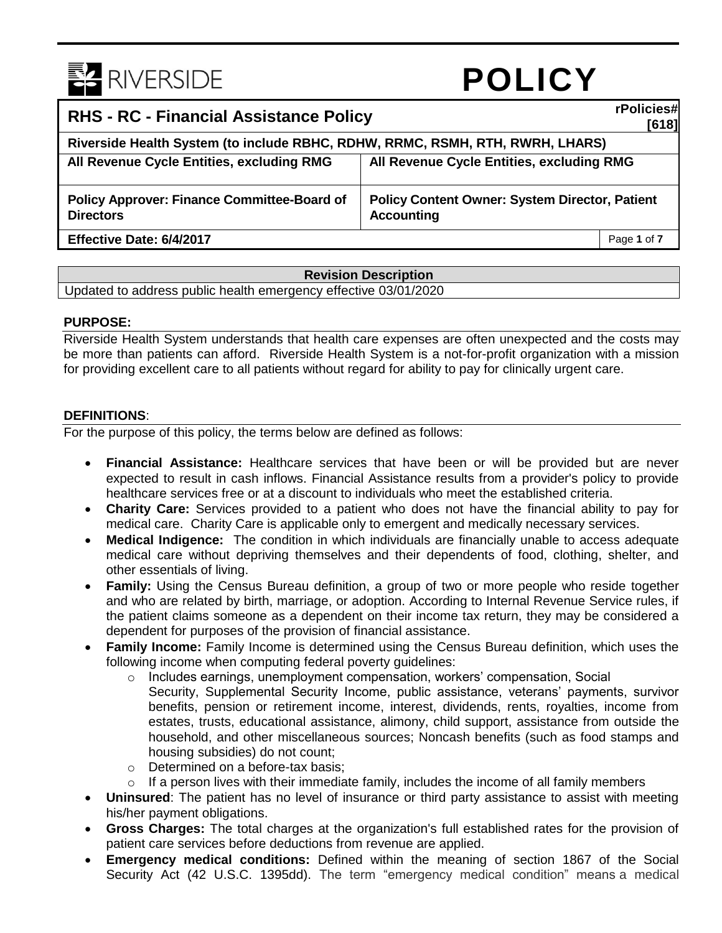

# **POLICY**

| <b>RHS - RC - Financial Assistance Policy</b>                                 |                                                                            | rPolicies#<br>[618] |
|-------------------------------------------------------------------------------|----------------------------------------------------------------------------|---------------------|
| Riverside Health System (to include RBHC, RDHW, RRMC, RSMH, RTH, RWRH, LHARS) |                                                                            |                     |
| All Revenue Cycle Entities, excluding RMG                                     | All Revenue Cycle Entities, excluding RMG                                  |                     |
| <b>Policy Approver: Finance Committee-Board of</b><br><b>Directors</b>        | <b>Policy Content Owner: System Director, Patient</b><br><b>Accounting</b> |                     |
| Effective Date: 6/4/2017                                                      |                                                                            | Page 1 of 7         |

#### **Revision Description**

Updated to address public health emergency effective 03/01/2020

#### **PURPOSE:**

Riverside Health System understands that health care expenses are often unexpected and the costs may be more than patients can afford. Riverside Health System is a not-for-profit organization with a mission for providing excellent care to all patients without regard for ability to pay for clinically urgent care.

#### **DEFINITIONS**:

For the purpose of this policy, the terms below are defined as follows:

- **Financial Assistance:** Healthcare services that have been or will be provided but are never expected to result in cash inflows. Financial Assistance results from a provider's policy to provide healthcare services free or at a discount to individuals who meet the established criteria.
- **Charity Care:** Services provided to a patient who does not have the financial ability to pay for medical care. Charity Care is applicable only to emergent and medically necessary services.
- **Medical Indigence:** The condition in which individuals are financially unable to access adequate medical care without depriving themselves and their dependents of food, clothing, shelter, and other essentials of living.
- **Family:** Using the Census Bureau definition, a group of two or more people who reside together and who are related by birth, marriage, or adoption. According to Internal Revenue Service rules, if the patient claims someone as a dependent on their income tax return, they may be considered a dependent for purposes of the provision of financial assistance.
- **Family Income:** Family Income is determined using the Census Bureau definition, which uses the following income when computing federal poverty guidelines:
	- o Includes earnings, unemployment compensation, workers' compensation, Social Security, Supplemental Security Income, public assistance, veterans' payments, survivor benefits, pension or retirement income, interest, dividends, rents, royalties, income from estates, trusts, educational assistance, alimony, child support, assistance from outside the household, and other miscellaneous sources; Noncash benefits (such as food stamps and housing subsidies) do not count;
	- o Determined on a before-tax basis;
	- $\circ$  If a person lives with their immediate family, includes the income of all family members
- **Uninsured**: The patient has no level of insurance or third party assistance to assist with meeting his/her payment obligations.
- **Gross Charges:** The total charges at the organization's full established rates for the provision of patient care services before deductions from revenue are applied.
- **Emergency medical conditions:** Defined within the meaning of section 1867 of the Social Security Act (42 U.S.C. 1395dd). The term "emergency medical condition" means a medical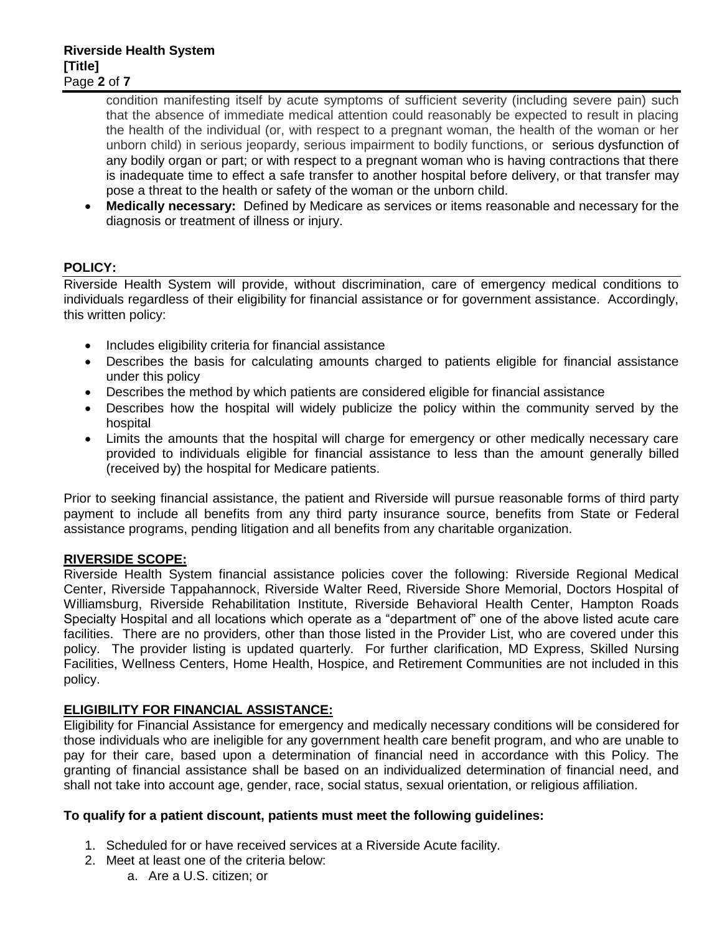condition manifesting itself by acute symptoms of sufficient severity (including severe pain) such that the absence of immediate medical attention could reasonably be expected to result in placing the health of the individual (or, with respect to a pregnant woman, the health of the woman or her unborn child) in serious jeopardy, serious impairment to bodily functions, or serious dysfunction of any bodily organ or part; or with respect to a pregnant woman who is having contractions that there is inadequate time to effect a safe transfer to another hospital before delivery, or that transfer may pose a threat to the health or safety of the woman or the unborn child.

 **Medically necessary:** Defined by Medicare as services or items reasonable and necessary for the diagnosis or treatment of illness or injury.

## **POLICY:**

Riverside Health System will provide, without discrimination, care of emergency medical conditions to individuals regardless of their eligibility for financial assistance or for government assistance. Accordingly, this written policy:

- Includes eligibility criteria for financial assistance
- Describes the basis for calculating amounts charged to patients eligible for financial assistance under this policy
- Describes the method by which patients are considered eligible for financial assistance
- Describes how the hospital will widely publicize the policy within the community served by the hospital
- Limits the amounts that the hospital will charge for emergency or other medically necessary care provided to individuals eligible for financial assistance to less than the amount generally billed (received by) the hospital for Medicare patients.

Prior to seeking financial assistance, the patient and Riverside will pursue reasonable forms of third party payment to include all benefits from any third party insurance source, benefits from State or Federal assistance programs, pending litigation and all benefits from any charitable organization.

## **RIVERSIDE SCOPE:**

Riverside Health System financial assistance policies cover the following: Riverside Regional Medical Center, Riverside Tappahannock, Riverside Walter Reed, Riverside Shore Memorial, Doctors Hospital of Williamsburg, Riverside Rehabilitation Institute, Riverside Behavioral Health Center, Hampton Roads Specialty Hospital and all locations which operate as a "department of" one of the above listed acute care facilities. There are no providers, other than those listed in the Provider List, who are covered under this policy. The provider listing is updated quarterly. For further clarification, MD Express, Skilled Nursing Facilities, Wellness Centers, Home Health, Hospice, and Retirement Communities are not included in this policy.

## **ELIGIBILITY FOR FINANCIAL ASSISTANCE:**

Eligibility for Financial Assistance for emergency and medically necessary conditions will be considered for those individuals who are ineligible for any government health care benefit program, and who are unable to pay for their care, based upon a determination of financial need in accordance with this Policy. The granting of financial assistance shall be based on an individualized determination of financial need, and shall not take into account age, gender, race, social status, sexual orientation, or religious affiliation.

## **To qualify for a patient discount, patients must meet the following guidelines:**

- 1. Scheduled for or have received services at a Riverside Acute facility.
- 2. Meet at least one of the criteria below:
	- a. Are a U.S. citizen; or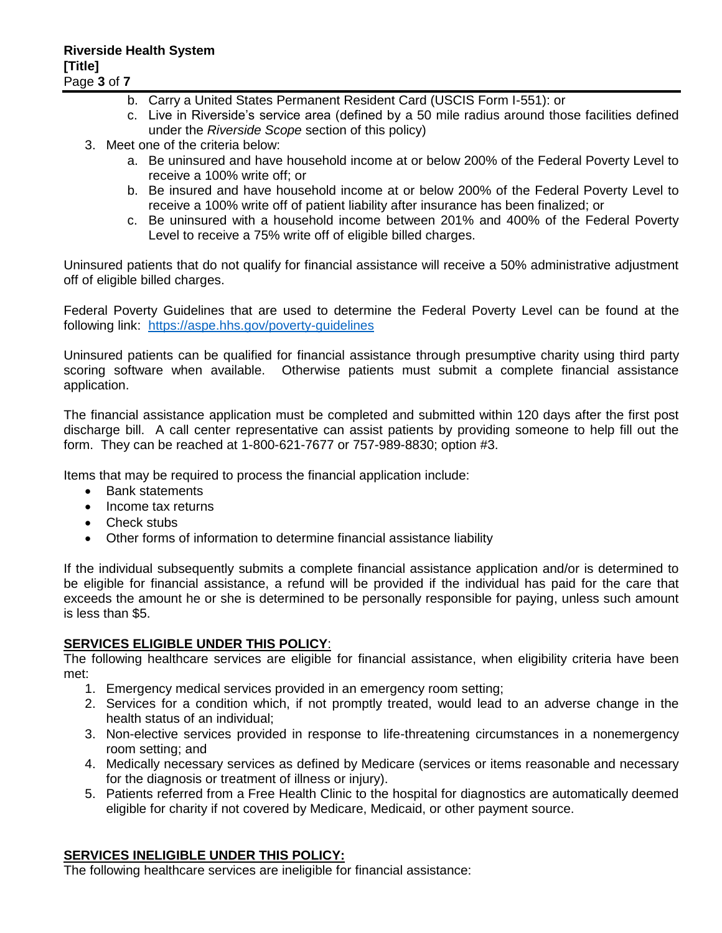- b. Carry a United States Permanent Resident Card (USCIS Form I-551): or
- c. Live in Riverside's service area (defined by a 50 mile radius around those facilities defined under the *Riverside Scope* section of this policy)
- 3. Meet one of the criteria below:
	- a. Be uninsured and have household income at or below 200% of the Federal Poverty Level to receive a 100% write off; or
	- b. Be insured and have household income at or below 200% of the Federal Poverty Level to receive a 100% write off of patient liability after insurance has been finalized; or
	- c. Be uninsured with a household income between 201% and 400% of the Federal Poverty Level to receive a 75% write off of eligible billed charges.

Uninsured patients that do not qualify for financial assistance will receive a 50% administrative adjustment off of eligible billed charges.

Federal Poverty Guidelines that are used to determine the Federal Poverty Level can be found at the following link: <https://aspe.hhs.gov/poverty-guidelines>

Uninsured patients can be qualified for financial assistance through presumptive charity using third party scoring software when available. Otherwise patients must submit a complete financial assistance application.

The financial assistance application must be completed and submitted within 120 days after the first post discharge bill. A call center representative can assist patients by providing someone to help fill out the form. They can be reached at 1-800-621-7677 or 757-989-8830; option #3.

Items that may be required to process the financial application include:

- Bank statements
- Income tax returns
- Check stubs
- Other forms of information to determine financial assistance liability

If the individual subsequently submits a complete financial assistance application and/or is determined to be eligible for financial assistance, a refund will be provided if the individual has paid for the care that exceeds the amount he or she is determined to be personally responsible for paying, unless such amount is less than \$5.

## **SERVICES ELIGIBLE UNDER THIS POLICY**:

The following healthcare services are eligible for financial assistance, when eligibility criteria have been met:

- 1. Emergency medical services provided in an emergency room setting;
- 2. Services for a condition which, if not promptly treated, would lead to an adverse change in the health status of an individual;
- 3. Non-elective services provided in response to life-threatening circumstances in a nonemergency room setting; and
- 4. Medically necessary services as defined by Medicare (services or items reasonable and necessary for the diagnosis or treatment of illness or injury).
- 5. Patients referred from a Free Health Clinic to the hospital for diagnostics are automatically deemed eligible for charity if not covered by Medicare, Medicaid, or other payment source.

## **SERVICES INELIGIBLE UNDER THIS POLICY:**

The following healthcare services are ineligible for financial assistance: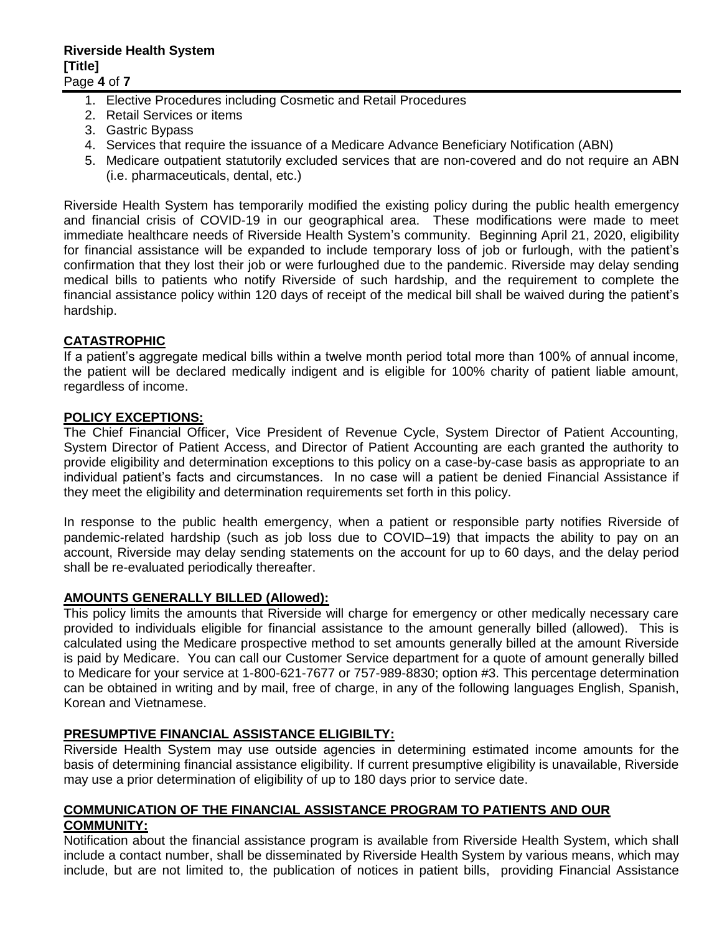- 1. Elective Procedures including Cosmetic and Retail Procedures
- 2. Retail Services or items
- 3. Gastric Bypass
- 4. Services that require the issuance of a Medicare Advance Beneficiary Notification (ABN)
- 5. Medicare outpatient statutorily excluded services that are non-covered and do not require an ABN (i.e. pharmaceuticals, dental, etc.)

Riverside Health System has temporarily modified the existing policy during the public health emergency and financial crisis of COVID-19 in our geographical area. These modifications were made to meet immediate healthcare needs of Riverside Health System's community. Beginning April 21, 2020, eligibility for financial assistance will be expanded to include temporary loss of job or furlough, with the patient's confirmation that they lost their job or were furloughed due to the pandemic. Riverside may delay sending medical bills to patients who notify Riverside of such hardship, and the requirement to complete the financial assistance policy within 120 days of receipt of the medical bill shall be waived during the patient's hardship.

## **CATASTROPHIC**

If a patient's aggregate medical bills within a twelve month period total more than 100% of annual income, the patient will be declared medically indigent and is eligible for 100% charity of patient liable amount, regardless of income.

#### **POLICY EXCEPTIONS:**

The Chief Financial Officer, Vice President of Revenue Cycle, System Director of Patient Accounting, System Director of Patient Access, and Director of Patient Accounting are each granted the authority to provide eligibility and determination exceptions to this policy on a case-by-case basis as appropriate to an individual patient's facts and circumstances. In no case will a patient be denied Financial Assistance if they meet the eligibility and determination requirements set forth in this policy.

In response to the public health emergency, when a patient or responsible party notifies Riverside of pandemic-related hardship (such as job loss due to COVID–19) that impacts the ability to pay on an account, Riverside may delay sending statements on the account for up to 60 days, and the delay period shall be re-evaluated periodically thereafter.

#### **AMOUNTS GENERALLY BILLED (Allowed):**

This policy limits the amounts that Riverside will charge for emergency or other medically necessary care provided to individuals eligible for financial assistance to the amount generally billed (allowed). This is calculated using the Medicare prospective method to set amounts generally billed at the amount Riverside is paid by Medicare. You can call our Customer Service department for a quote of amount generally billed to Medicare for your service at 1-800-621-7677 or 757-989-8830; option #3. This percentage determination can be obtained in writing and by mail, free of charge, in any of the following languages English, Spanish, Korean and Vietnamese.

## **PRESUMPTIVE FINANCIAL ASSISTANCE ELIGIBILTY:**

Riverside Health System may use outside agencies in determining estimated income amounts for the basis of determining financial assistance eligibility. If current presumptive eligibility is unavailable, Riverside may use a prior determination of eligibility of up to 180 days prior to service date.

#### **COMMUNICATION OF THE FINANCIAL ASSISTANCE PROGRAM TO PATIENTS AND OUR COMMUNITY:**

Notification about the financial assistance program is available from Riverside Health System, which shall include a contact number, shall be disseminated by Riverside Health System by various means, which may include, but are not limited to, the publication of notices in patient bills, providing Financial Assistance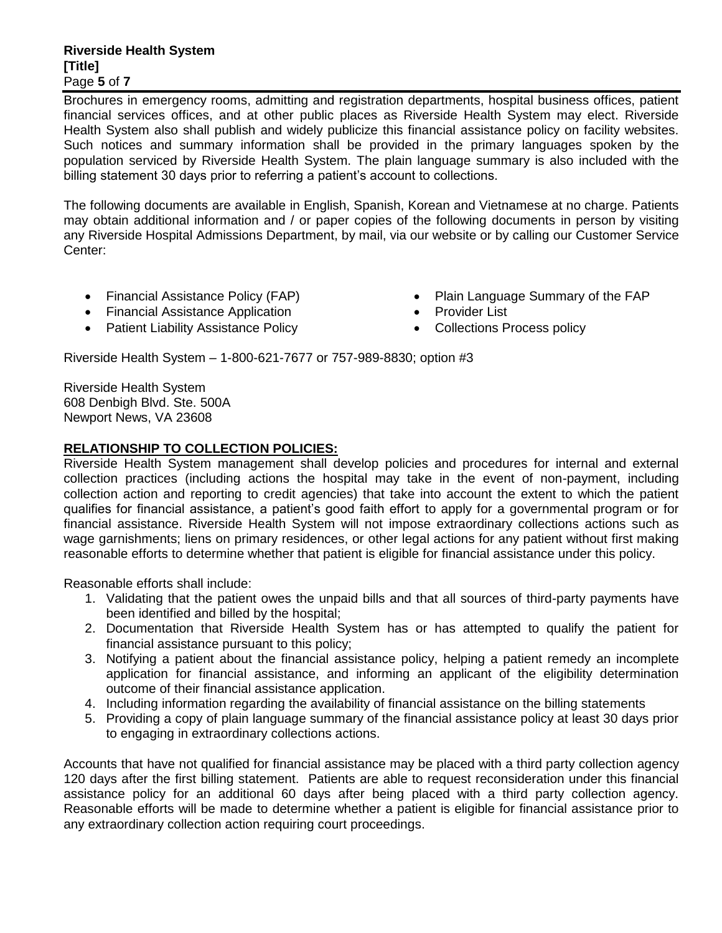#### **Riverside Health System [Title]** Page **5** of **7**

Brochures in emergency rooms, admitting and registration departments, hospital business offices, patient financial services offices, and at other public places as Riverside Health System may elect. Riverside Health System also shall publish and widely publicize this financial assistance policy on facility websites. Such notices and summary information shall be provided in the primary languages spoken by the population serviced by Riverside Health System. The plain language summary is also included with the billing statement 30 days prior to referring a patient's account to collections.

The following documents are available in English, Spanish, Korean and Vietnamese at no charge. Patients may obtain additional information and / or paper copies of the following documents in person by visiting any Riverside Hospital Admissions Department, by mail, via our website or by calling our Customer Service Center:

- Financial Assistance Policy (FAP)
- Financial Assistance Application
- Patient Liability Assistance Policy
- Plain Language Summary of the FAP
- Provider List
- Collections Process policy

Riverside Health System – 1-800-621-7677 or 757-989-8830; option #3

Riverside Health System 608 Denbigh Blvd. Ste. 500A Newport News, VA 23608

## **RELATIONSHIP TO COLLECTION POLICIES:**

Riverside Health System management shall develop policies and procedures for internal and external collection practices (including actions the hospital may take in the event of non-payment, including collection action and reporting to credit agencies) that take into account the extent to which the patient qualifies for financial assistance, a patient's good faith effort to apply for a governmental program or for financial assistance. Riverside Health System will not impose extraordinary collections actions such as wage garnishments; liens on primary residences, or other legal actions for any patient without first making reasonable efforts to determine whether that patient is eligible for financial assistance under this policy.

Reasonable efforts shall include:

- 1. Validating that the patient owes the unpaid bills and that all sources of third-party payments have been identified and billed by the hospital;
- 2. Documentation that Riverside Health System has or has attempted to qualify the patient for financial assistance pursuant to this policy;
- 3. Notifying a patient about the financial assistance policy, helping a patient remedy an incomplete application for financial assistance, and informing an applicant of the eligibility determination outcome of their financial assistance application.
- 4. Including information regarding the availability of financial assistance on the billing statements
- 5. Providing a copy of plain language summary of the financial assistance policy at least 30 days prior to engaging in extraordinary collections actions.

Accounts that have not qualified for financial assistance may be placed with a third party collection agency 120 days after the first billing statement. Patients are able to request reconsideration under this financial assistance policy for an additional 60 days after being placed with a third party collection agency. Reasonable efforts will be made to determine whether a patient is eligible for financial assistance prior to any extraordinary collection action requiring court proceedings.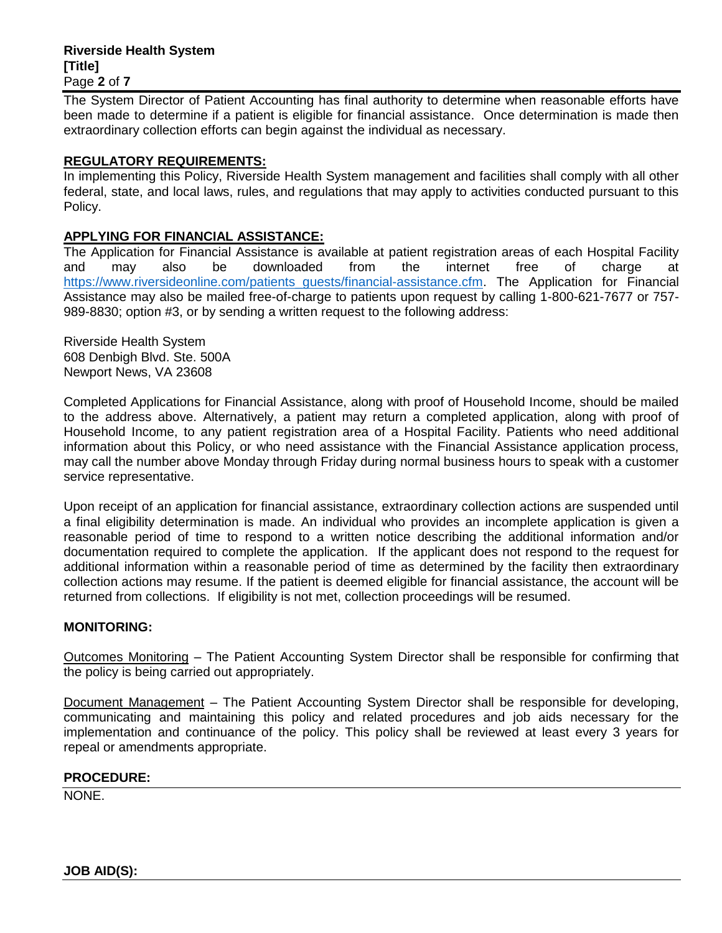#### **Riverside Health System [Title]** Page **2** of **7**

The System Director of Patient Accounting has final authority to determine when reasonable efforts have been made to determine if a patient is eligible for financial assistance. Once determination is made then extraordinary collection efforts can begin against the individual as necessary.

## **REGULATORY REQUIREMENTS:**

In implementing this Policy, Riverside Health System management and facilities shall comply with all other federal, state, and local laws, rules, and regulations that may apply to activities conducted pursuant to this Policy.

#### **APPLYING FOR FINANCIAL ASSISTANCE:**

The Application for Financial Assistance is available at patient registration areas of each Hospital Facility and may also be downloaded from the internet free of charge at [https://www.riversideonline.com/patients\\_guests/financial-assistance.cfm.](https://www.riversideonline.com/patients_guests/financial-assistance.cfm) The Application for Financial Assistance may also be mailed free-of-charge to patients upon request by calling 1-800-621-7677 or 757- 989-8830; option #3, or by sending a written request to the following address:

Riverside Health System 608 Denbigh Blvd. Ste. 500A Newport News, VA 23608

Completed Applications for Financial Assistance, along with proof of Household Income, should be mailed to the address above. Alternatively, a patient may return a completed application, along with proof of Household Income, to any patient registration area of a Hospital Facility. Patients who need additional information about this Policy, or who need assistance with the Financial Assistance application process, may call the number above Monday through Friday during normal business hours to speak with a customer service representative.

Upon receipt of an application for financial assistance, extraordinary collection actions are suspended until a final eligibility determination is made. An individual who provides an incomplete application is given a reasonable period of time to respond to a written notice describing the additional information and/or documentation required to complete the application. If the applicant does not respond to the request for additional information within a reasonable period of time as determined by the facility then extraordinary collection actions may resume. If the patient is deemed eligible for financial assistance, the account will be returned from collections. If eligibility is not met, collection proceedings will be resumed.

#### **MONITORING:**

Outcomes Monitoring – The Patient Accounting System Director shall be responsible for confirming that the policy is being carried out appropriately.

Document Management – The Patient Accounting System Director shall be responsible for developing, communicating and maintaining this policy and related procedures and job aids necessary for the implementation and continuance of the policy. This policy shall be reviewed at least every 3 years for repeal or amendments appropriate.

#### **PROCEDURE:**

NONE.